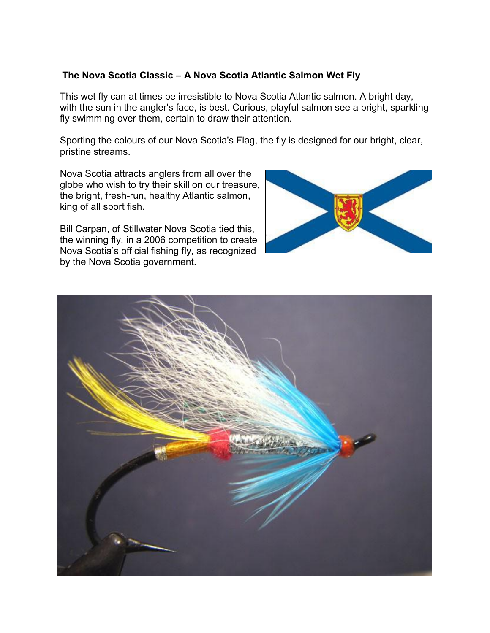# **The Nova Scotia Classic – A Nova Scotia Atlantic Salmon Wet Fly**

This wet fly can at times be irresistible to Nova Scotia Atlantic salmon. A bright day, with the sun in the angler's face, is best. Curious, playful salmon see a bright, sparkling fly swimming over them, certain to draw their attention.

Sporting the colours of our Nova Scotia's Flag, the fly is designed for our bright, clear, pristine streams.

Nova Scotia attracts anglers from all over the globe who wish to try their skill on our treasure, the bright, fresh-run, healthy Atlantic salmon, king of all sport fish.

Bill Carpan, of Stillwater Nova Scotia tied this, the winning fly, in a 2006 competition to create Nova Scotia's official fishing fly, as recognized by the Nova Scotia government.



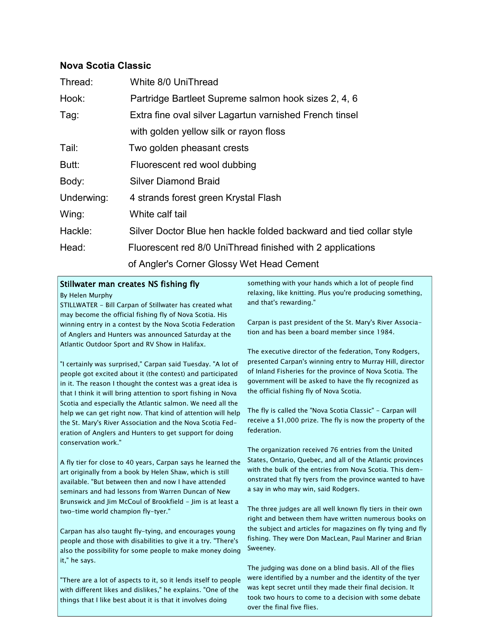## **Nova Scotia Classic**

| Thread:    | White 8/0 UniThread                                                 |
|------------|---------------------------------------------------------------------|
| Hook:      | Partridge Bartleet Supreme salmon hook sizes 2, 4, 6                |
| Tag:       | Extra fine oval silver Lagartun varnished French tinsel             |
|            | with golden yellow silk or rayon floss                              |
| Tail:      | Two golden pheasant crests                                          |
| Butt:      | Fluorescent red wool dubbing                                        |
| Body:      | <b>Silver Diamond Braid</b>                                         |
| Underwing: | 4 strands forest green Krystal Flash                                |
| Wing:      | White calf tail                                                     |
| Hackle:    | Silver Doctor Blue hen hackle folded backward and tied collar style |
| Head:      | Fluorescent red 8/0 UniThread finished with 2 applications          |
|            | of Angler's Corner Glossy Wet Head Cement                           |

#### Stillwater man creates NS fishing fly

#### By Helen Murphy

STILLWATER - Bill Carpan of Stillwater has created what may become the official fishing fly of Nova Scotia. His winning entry in a contest by the Nova Scotia Federation of Anglers and Hunters was announced Saturday at the Atlantic Outdoor Sport and RV Show in Halifax.

"I certainly was surprised," Carpan said Tuesday. "A lot of people got excited about it (the contest) and participated in it. The reason I thought the contest was a great idea is that I think it will bring attention to sport fishing in Nova Scotia and especially the Atlantic salmon. We need all the help we can get right now. That kind of attention will help the St. Mary's River Association and the Nova Scotia Federation of Anglers and Hunters to get support for doing conservation work."

A fly tier for close to 40 years, Carpan says he learned the art originally from a book by Helen Shaw, which is still available. "But between then and now I have attended seminars and had lessons from Warren Duncan of New Brunswick and Jim McCoul of Brookfield - Jim is at least a two-time world champion fly-tyer."

Carpan has also taught fly-tying, and encourages young people and those with disabilities to give it a try. "There's also the possibility for some people to make money doing it," he says.

"There are a lot of aspects to it, so it lends itself to people with different likes and dislikes," he explains. "One of the things that I like best about it is that it involves doing

something with your hands which a lot of people find relaxing, like knitting. Plus you're producing something, and that's rewarding."

Carpan is past president of the St. Mary's River Association and has been a board member since 1984.

The executive director of the federation, Tony Rodgers, presented Carpan's winning entry to Murray Hill, director of Inland Fisheries for the province of Nova Scotia. The government will be asked to have the fly recognized as the official fishing fly of Nova Scotia.

The fly is called the "Nova Scotia Classic" - Carpan will receive a \$1,000 prize. The fly is now the property of the federation.

The organization received 76 entries from the United States, Ontario, Quebec, and all of the Atlantic provinces with the bulk of the entries from Nova Scotia. This demonstrated that fly tyers from the province wanted to have a say in who may win, said Rodgers.

The three judges are all well known fly tiers in their own right and between them have written numerous books on the subject and articles for magazines on fly tying and fly fishing. They were Don MacLean, Paul Mariner and Brian Sweeney.

The judging was done on a blind basis. All of the flies were identified by a number and the identity of the tyer was kept secret until they made their final decision. It took two hours to come to a decision with some debate over the final five flies.